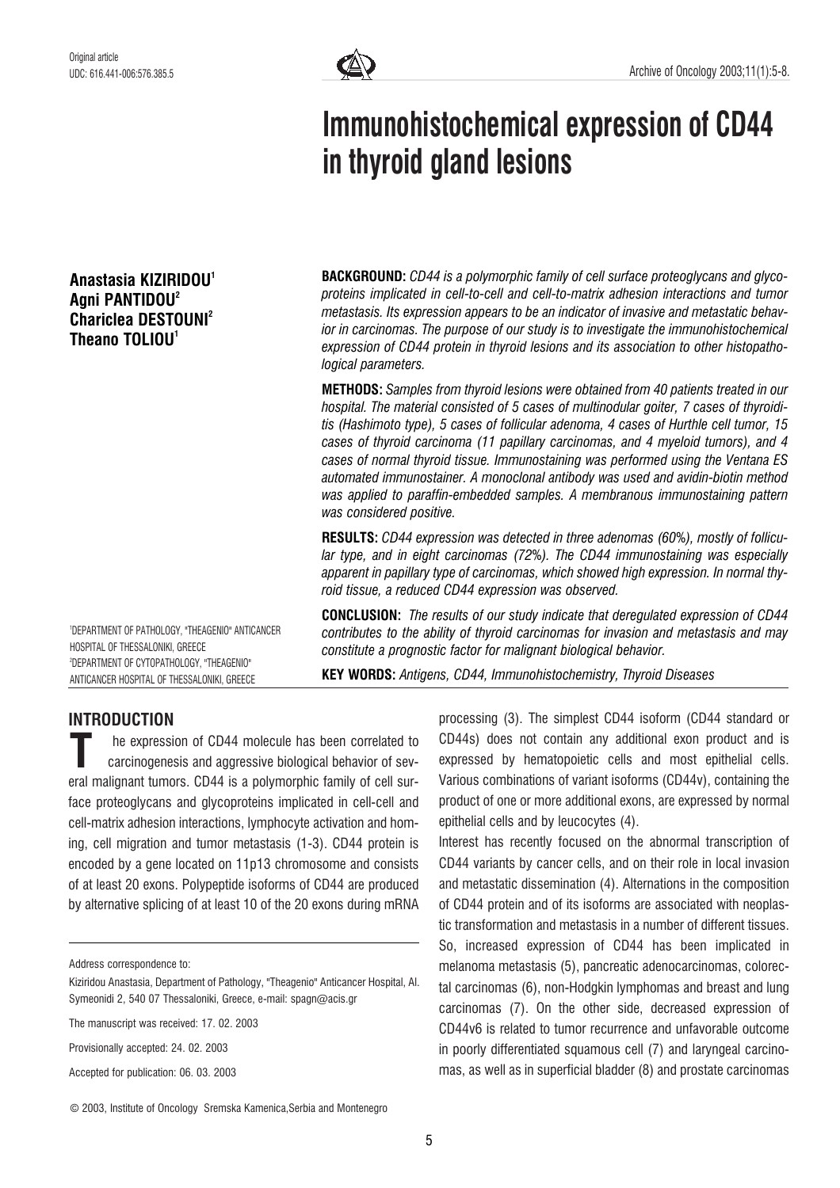# Anastasia KIZIRIDOU<sup>1</sup> Agni PANTIDOU2 Chariclea DESTOUNI<sup>2</sup> Theano TOLIOU<sup>1</sup>



# Immunohistochemical expression of CD44 in thyroid gland lesions

**BACKGROUND:** CD44 is a polymorphic family of cell surface proteoglycans and glycoproteins implicated in cell-to-cell and cell-to-matrix adhesion interactions and tumor metastasis. Its expression appears to be an indicator of invasive and metastatic behavior in carcinomas. The purpose of our study is to investigate the immunohistochemical expression of CD44 protein in thyroid lesions and its association to other histopathological parameters.

METHODS: Samples from thyroid lesions were obtained from 40 patients treated in our hospital. The material consisted of 5 cases of multinodular goiter, 7 cases of thyroiditis (Hashimoto type), 5 cases of follicular adenoma, 4 cases of Hurthle cell tumor, 15 cases of thyroid carcinoma (11 papillary carcinomas, and 4 myeloid tumors), and 4 cases of normal thyroid tissue. Immunostaining was performed using the Ventana ES automated immunostainer. A monoclonal antibody was used and avidin-biotin method was applied to paraffin-embedded samples. A membranous immunostaining pattern was considered positive.

RESULTS: CD44 expression was detected in three adenomas (60%), mostly of follicular type, and in eight carcinomas (72%). The CD44 immunostaining was especially apparent in papillary type of carcinomas, which showed high expression. In normal thyroid tissue, a reduced CD44 expression was observed.

CONCLUSION: The results of our study indicate that deregulated expression of CD44 contributes to the ability of thyroid carcinomas for invasion and metastasis and may constitute a prognostic factor for malignant biological behavior.

KEY WORDS: Antigens, CD44, Immunohistochemistry, Thyroid Diseases

# INTRODUCTION

HOSPITAL OF THESSALONIKI, GREECE

1 DEPARTMENT OF PATHOLOGY, "THEAGENIO" ANTICANCER

2 DEPARTMENT OF CYTOPATHOLOGY, "THEAGENIO" ANTICANCER HOSPITAL OF THESSALONIKI, GREECE

he expression of CD44 molecule has been correlated to carcinogenesis and aggressive biological behavior of sev-The expression of CD44 molecule has been correlated to<br>carcinogenesis and aggressive biological behavior of sev-<br>eral malignant tumors. CD44 is a polymorphic family of cell surface proteoglycans and glycoproteins implicated in cell-cell and cell-matrix adhesion interactions, lymphocyte activation and homing, cell migration and tumor metastasis (1-3). CD44 protein is encoded by a gene located on 11p13 chromosome and consists of at least 20 exons. Polypeptide isoforms of CD44 are produced by alternative splicing of at least 10 of the 20 exons during mRNA

Address correspondence to:

The manuscript was received: 17. 02. 2003

Provisionally accepted: 24. 02. 2003

Accepted for publication: 06. 03. 2003

© 2003, Institute of Oncology Sremska Kamenica,Serbia and Montenegro

processing (3). The simplest CD44 isoform (CD44 standard or CD44s) does not contain any additional exon product and is expressed by hematopoietic cells and most epithelial cells. Various combinations of variant isoforms (CD44v), containing the product of one or more additional exons, are expressed by normal epithelial cells and by leucocytes (4).

Interest has recently focused on the abnormal transcription of CD44 variants by cancer cells, and on their role in local invasion and metastatic dissemination (4). Alternations in the composition of CD44 protein and of its isoforms are associated with neoplastic transformation and metastasis in a number of different tissues. So, increased expression of CD44 has been implicated in melanoma metastasis (5), pancreatic adenocarcinomas, colorectal carcinomas (6), non-Hodgkin lymphomas and breast and lung carcinomas (7). On the other side, decreased expression of CD44v6 is related to tumor recurrence and unfavorable outcome in poorly differentiated squamous cell (7) and laryngeal carcinomas, as well as in superficial bladder (8) and prostate carcinomas

Kiziridou Anastasia, Department of Pathology, "Theagenio" Anticancer Hospital, Al. Symeonidi 2, 540 07 Thessaloniki, Greece, e-mail: spagn@acis.gr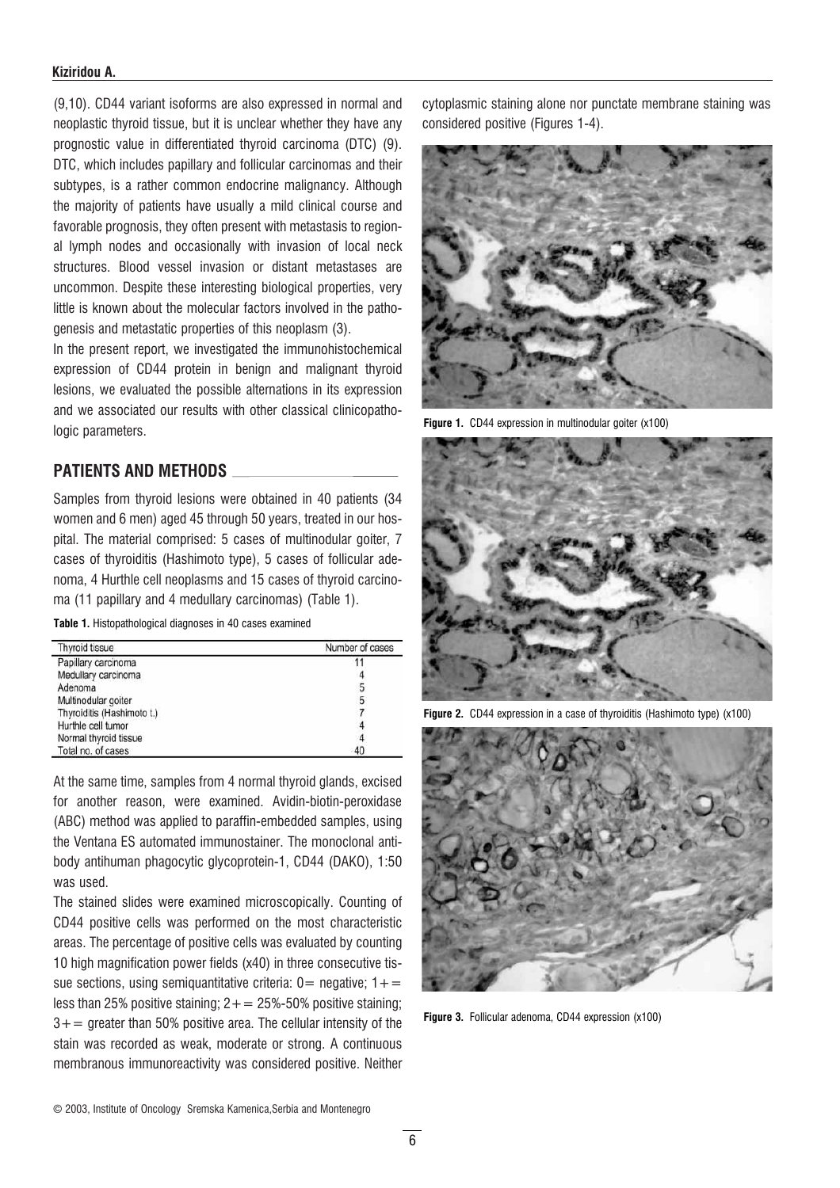#### Kiziridou A.

(9,10). CD44 variant isoforms are also expressed in normal and neoplastic thyroid tissue, but it is unclear whether they have any prognostic value in differentiated thyroid carcinoma (DTC) (9). DTC, which includes papillary and follicular carcinomas and their subtypes, is a rather common endocrine malignancy. Although the majority of patients have usually a mild clinical course and favorable prognosis, they often present with metastasis to regional lymph nodes and occasionally with invasion of local neck structures. Blood vessel invasion or distant metastases are uncommon. Despite these interesting biological properties, very little is known about the molecular factors involved in the pathogenesis and metastatic properties of this neoplasm (3).

In the present report, we investigated the immunohistochemical expression of CD44 protein in benign and malignant thyroid lesions, we evaluated the possible alternations in its expression and we associated our results with other classical clinicopathologic parameters.

## PATIENTS AND METHODS

Samples from thyroid lesions were obtained in 40 patients (34 women and 6 men) aged 45 through 50 years, treated in our hospital. The material comprised: 5 cases of multinodular goiter, 7 cases of thyroiditis (Hashimoto type), 5 cases of follicular adenoma, 4 Hurthle cell neoplasms and 15 cases of thyroid carcinoma (11 papillary and 4 medullary carcinomas) (Table 1).

Table 1. Histopathological diagnoses in 40 cases examined

| Thyroid tissue             | Number of cases |  |  |  |
|----------------------------|-----------------|--|--|--|
| Papillary carcinoma        |                 |  |  |  |
| Medullary carcinoma        |                 |  |  |  |
| Adenoma                    | 5               |  |  |  |
| Multinodular goiter        | 5               |  |  |  |
| Thyroiditis (Hashimoto t.) |                 |  |  |  |
| Hurthle cell tumor         |                 |  |  |  |
| Normal thyroid tissue      |                 |  |  |  |
| Total no. of cases         | 40              |  |  |  |

At the same time, samples from 4 normal thyroid glands, excised for another reason, were examined. Avidin-biotin-peroxidase (ABC) method was applied to paraffin-embedded samples, using the Ventana ES automated immunostainer. The monoclonal antibody antihuman phagocytic glycoprotein-1, CD44 (DAKO), 1:50 was used.

The stained slides were examined microscopically. Counting of CD44 positive cells was performed on the most characteristic areas. The percentage of positive cells was evaluated by counting 10 high magnification power fields (x40) in three consecutive tissue sections, using semiquantitative criteria:  $0=$  negative;  $1+=$ less than 25% positive staining;  $2+=25\%$ -50% positive staining;  $3+=$  greater than 50% positive area. The cellular intensity of the stain was recorded as weak, moderate or strong. A continuous membranous immunoreactivity was considered positive. Neither

cytoplasmic staining alone nor punctate membrane staining was considered positive (Figures 1-4).



Figure 1. CD44 expression in multinodular goiter (x100)



Figure 2. CD44 expression in a case of thyroiditis (Hashimoto type) (x100)



Figure 3. Follicular adenoma, CD44 expression (x100)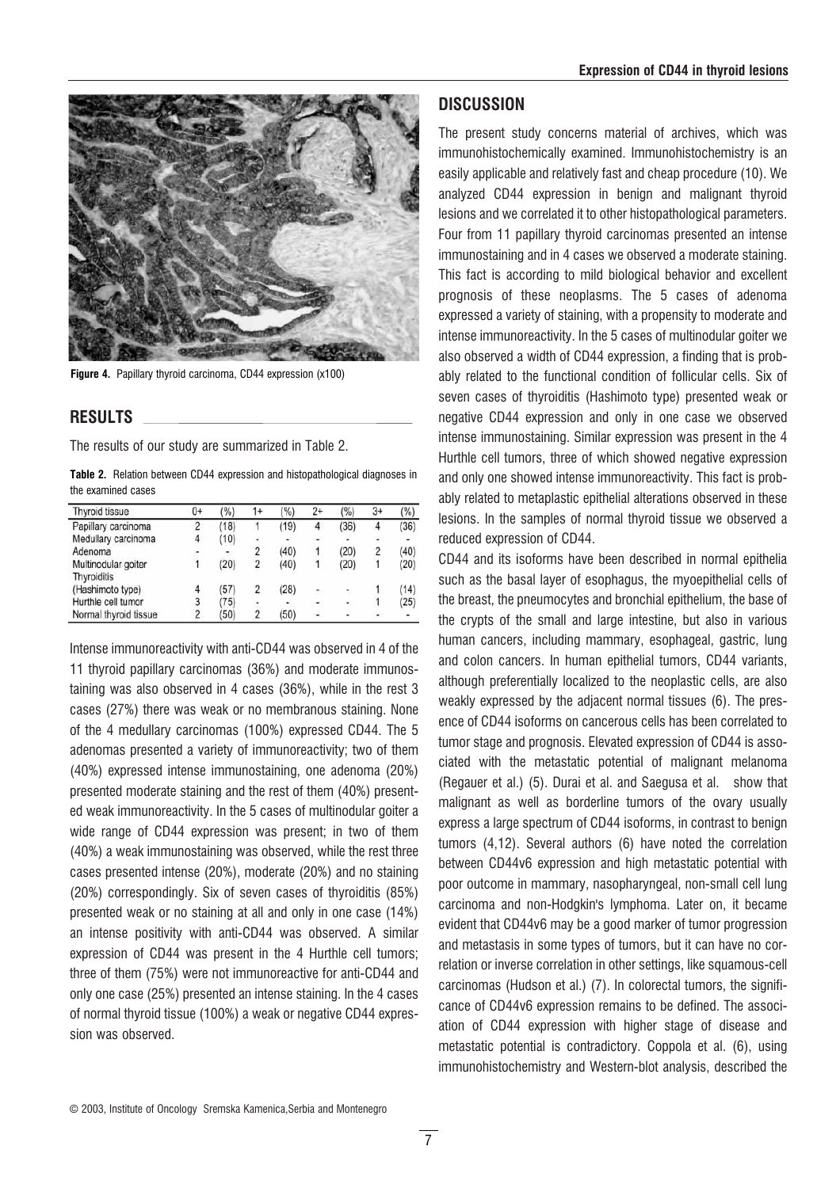

Figure 4. Papillary thyroid carcinoma, CD44 expression (x100)

## RESULTS

The results of our study are summarized in Table 2.

Table 2. Relation between CD44 expression and histopathological diagnoses in the examined cases

| Thyroid tissue        | $0+$ | (%)  | 1+             | (%)  | 2+          | (%)                      | $3+$                       | (%)            |
|-----------------------|------|------|----------------|------|-------------|--------------------------|----------------------------|----------------|
| Papillary carcinoma   | 2    | (18) |                | (19) | 4           | (36)                     | 4                          | (36)           |
| Medullary carcinoma   | 4    | (10) | ä,             |      |             |                          | 국제                         |                |
| Adenoma               |      |      | 2              | (40) |             | (20)                     | 2                          | (40)           |
| Multinodular goiter   |      | (20) | 2              | (40) |             | (20)                     | 1                          | (20)           |
| Thyroiditis           |      |      |                |      |             |                          |                            |                |
| (Hashimoto type)      |      | (57) | 2              | (28) | ٠           | ÷,                       | $\mathbf{1}$               | (14)           |
| Hurthle cell tumor    | 3    | (75) | ۰              |      | $\bullet$ . | $\overline{\phantom{a}}$ | 1                          | (25)           |
| Normal thyroid tissue | 2    | (50) | $\overline{2}$ | (50) | P.          | ÷                        | $\mathcal{L}_{\mathbf{z}}$ | $\overline{a}$ |

Intense immunoreactivity with anti-CD44 was observed in 4 of the 11 thyroid papillary carcinomas (36%) and moderate immunostaining was also observed in 4 cases (36%), while in the rest 3 cases (27%) there was weak or no membranous staining. None of the 4 medullary carcinomas (100%) expressed CD44. The 5 adenomas presented a variety of immunoreactivity; two of them (40%) expressed intense immunostaining, one adenoma (20%) presented moderate staining and the rest of them (40%) presented weak immunoreactivity. In the 5 cases of multinodular goiter a wide range of CD44 expression was present; in two of them (40%) a weak immunostaining was observed, while the rest three cases presented intense (20%), moderate (20%) and no staining (20%) correspondingly. Six of seven cases of thyroiditis (85%) presented weak or no staining at all and only in one case (14%) an intense positivity with anti-CD44 was observed. A similar expression of CD44 was present in the 4 Hurthle cell tumors; three of them (75%) were not immunoreactive for anti-CD44 and only one case (25%) presented an intense staining. In the 4 cases of normal thyroid tissue (100%) a weak or negative CD44 expression was observed.

### **DISCUSSION**

The present study concerns material of archives, which was immunohistochemically examined. Immunohistochemistry is an easily applicable and relatively fast and cheap procedure (10). We analyzed CD44 expression in benign and malignant thyroid lesions and we correlated it to other histopathological parameters. Four from 11 papillary thyroid carcinomas presented an intense immunostaining and in 4 cases we observed a moderate staining. This fact is according to mild biological behavior and excellent prognosis of these neoplasms. The 5 cases of adenoma expressed a variety of staining, with a propensity to moderate and intense immunoreactivity. In the 5 cases of multinodular goiter we also observed a width of CD44 expression, a finding that is probably related to the functional condition of follicular cells. Six of seven cases of thyroiditis (Hashimoto type) presented weak or negative CD44 expression and only in one case we observed intense immunostaining. Similar expression was present in the 4 Hurthle cell tumors, three of which showed negative expression and only one showed intense immunoreactivity. This fact is probably related to metaplastic epithelial alterations observed in these lesions. In the samples of normal thyroid tissue we observed a reduced expression of CD44.

CD44 and its isoforms have been described in normal epithelia such as the basal layer of esophagus, the myoepithelial cells of the breast, the pneumocytes and bronchial epithelium, the base of the crypts of the small and large intestine, but also in various human cancers, including mammary, esophageal, gastric, lung and colon cancers. In human epithelial tumors, CD44 variants, although preferentially localized to the neoplastic cells, are also weakly expressed by the adjacent normal tissues (6). The presence of CD44 isoforms on cancerous cells has been correlated to tumor stage and prognosis. Elevated expression of CD44 is associated with the metastatic potential of malignant melanoma (Regauer et al.) (5). Durai et al. and Saegusa et al. show that malignant as well as borderline tumors of the ovary usually express a large spectrum of CD44 isoforms, in contrast to benign tumors (4,12). Several authors (6) have noted the correlation between CD44v6 expression and high metastatic potential with poor outcome in mammary, nasopharyngeal, non-small cell lung carcinoma and non-Hodgkin's lymphoma. Later on, it became evident that CD44v6 may be a good marker of tumor progression and metastasis in some types of tumors, but it can have no correlation or inverse correlation in other settings, like squamous-cell carcinomas (Hudson et al.) (7). In colorectal tumors, the significance of CD44v6 expression remains to be defined. The association of CD44 expression with higher stage of disease and metastatic potential is contradictory. Coppola et al. (6), using immunohistochemistry and Western-blot analysis, described the